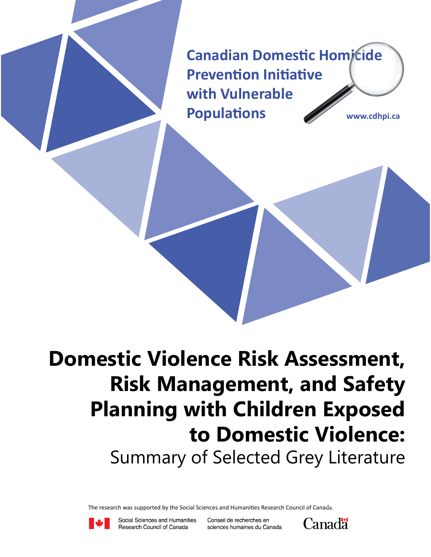**Canadian Domestic Homicide Prevention Initiative with Vulnerable Populations www.cdhpi.ca**

**Domestic Violence Risk Assessment, Risk Management, and Safety Planning with Children Exposed to Domestic Violence:** Summary of Selected Grey Literature

The research was supported by the Social Sciences and Humanities Research Council of Canada.



Social Sciences and Humanities Research Council of Canada

Conseil de recherches en sciences humaines du Canada

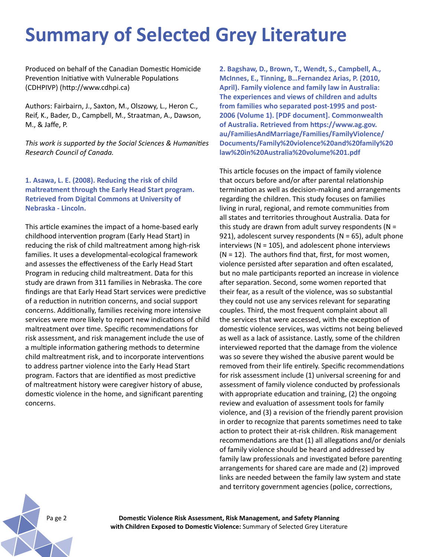# **Summary of Selected Grey Literature**

Produced on behalf of the Canadian Domestic Homicide Prevention Initiative with Vulnerable Populations (CDHPIVP) (http://www.cdhpi.ca)

Authors: Fairbairn, J., Saxton, M., Olszowy, L., Heron C., Reif, K., Bader, D., Campbell, M., Straatman, A., Dawson, M., & Jaffe, P.

*This work is supported by the Social Sciences & Humanities Research Council of Canada.*

## **1. Asawa, L. E. (2008). Reducing the risk of child maltreatment through the Early Head Start program. Retrieved from Digital Commons at University of Nebraska - Lincoln.**

This article examines the impact of a home-based early childhood intervention program (Early Head Start) in reducing the risk of child maltreatment among high-risk families. It uses a developmental-ecological framework and assesses the effectiveness of the Early Head Start Program in reducing child maltreatment. Data for this study are drawn from 311 families in Nebraska. The core findings are that Early Head Start services were predictive of a reduction in nutrition concerns, and social support concerns. Additionally, families receiving more intensive services were more likely to report new indications of child maltreatment over time. Specific recommendations for risk assessment, and risk management include the use of a multiple information gathering methods to determine child maltreatment risk, and to incorporate interventions to address partner violence into the Early Head Start program. Factors that are identified as most predictive of maltreatment history were caregiver history of abuse, domestic violence in the home, and significant parenting concerns.

**2. Bagshaw, D., Brown, T., Wendt, S., Campbell, A., McInnes, E., Tinning, B…Fernandez Arias, P. (2010, April). Family violence and family law in Australia: The experiences and views of children and adults from families who separated post-1995 and post-2006 (Volume 1). [PDF document]. Commonwealth of Australia. Retrieved from https://www.ag.gov. au/FamiliesAndMarriage/Families/FamilyViolence/ Documents/Family%20violence%20and%20family%20 law%20in%20Australia%20volume%201.pdf**

This article focuses on the impact of family violence that occurs before and/or after parental relationship termination as well as decision-making and arrangements regarding the children. This study focuses on families living in rural, regional, and remote communities from all states and territories throughout Australia. Data for this study are drawn from adult survey respondents ( $N =$ 921), adolescent survey respondents ( $N = 65$ ), adult phone interviews ( $N = 105$ ), and adolescent phone interviews  $(N = 12)$ . The authors find that, first, for most women, violence persisted after separation and often escalated, but no male participants reported an increase in violence after separation. Second, some women reported that their fear, as a result of the violence, was so substantial they could not use any services relevant for separating couples. Third, the most frequent complaint about all the services that were accessed, with the exception of domestic violence services, was victims not being believed as well as a lack of assistance. Lastly, some of the children interviewed reported that the damage from the violence was so severe they wished the abusive parent would be removed from their life entirely. Specific recommendations for risk assessment include (1) universal screening for and assessment of family violence conducted by professionals with appropriate education and training, (2) the ongoing review and evaluation of assessment tools for family violence, and (3) a revision of the friendly parent provision in order to recognize that parents sometimes need to take action to protect their at-risk children. Risk management recommendations are that (1) all allegations and/or denials of family violence should be heard and addressed by family law professionals and investigated before parenting arrangements for shared care are made and (2) improved links are needed between the family law system and state and territory government agencies (police, corrections,

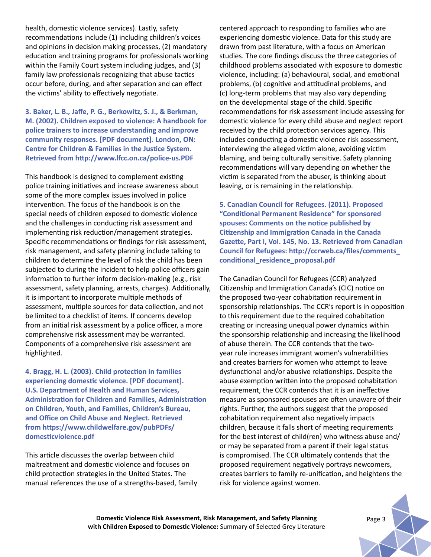health, domestic violence services). Lastly, safety recommendations include (1) including children's voices and opinions in decision making processes, (2) mandatory education and training programs for professionals working within the Family Court system including judges, and (3) family law professionals recognizing that abuse tactics occur before, during, and after separation and can effect the victims' ability to effectively negotiate.

**3. Baker, L. B., Jaffe, P. G., Berkowitz, S. J., & Berkman, M. (2002). Children exposed to violence: A handbook for police trainers to increase understanding and improve community responses. [PDF document]. London, ON: Centre for Children & Families in the Justice System. Retrieved from http://www.lfcc.on.ca/police-us.PDF**

This handbook is designed to complement existing police training initiatives and increase awareness about some of the more complex issues involved in police intervention. The focus of the handbook is on the special needs of children exposed to domestic violence and the challenges in conducting risk assessment and implementing risk reduction/management strategies. Specific recommendations or findings for risk assessment, risk management, and safety planning include talking to children to determine the level of risk the child has been subjected to during the incident to help police officers gain information to further inform decision-making (e.g., risk assessment, safety planning, arrests, charges). Additionally, it is important to incorporate multiple methods of assessment, multiple sources for data collection, and not be limited to a checklist of items. If concerns develop from an initial risk assessment by a police officer, a more comprehensive risk assessment may be warranted. Components of a comprehensive risk assessment are highlighted.

**4. Bragg, H. L. (2003). Child protection in families experiencing domestic violence. [PDF document]. U.S. Department of Health and Human Services, Administration for Children and Families, Administration on Children, Youth, and Families, Children's Bureau, and Office on Child Abuse and Neglect. Retrieved from https://www.childwelfare.gov/pubPDFs/ domesticviolence.pdf**

This article discusses the overlap between child maltreatment and domestic violence and focuses on child protection strategies in the United States. The manual references the use of a strengths-based, family centered approach to responding to families who are experiencing domestic violence. Data for this study are drawn from past literature, with a focus on American studies. The core findings discuss the three categories of childhood problems associated with exposure to domestic violence, including: (a) behavioural, social, and emotional problems, (b) cognitive and attitudinal problems, and (c) long-term problems that may also vary depending on the developmental stage of the child. Specific recommendations for risk assessment include assessing for domestic violence for every child abuse and neglect report received by the child protection services agency. This includes conducting a domestic violence risk assessment, interviewing the alleged victim alone, avoiding victim blaming, and being culturally sensitive. Safety planning recommendations will vary depending on whether the victim is separated from the abuser, is thinking about leaving, or is remaining in the relationship.

**5. Canadian Council for Refugees. (2011). Proposed "Conditional Permanent Residence" for sponsored spouses: Comments on the notice published by Citizenship and Immigration Canada in the Canada Gazette, Part I, Vol. 145, No. 13. Retrieved from Canadian Council for Refugees: http://ccrweb.ca/files/comments\_ conditional\_residence\_proposal.pdf** 

The Canadian Council for Refugees (CCR) analyzed Citizenship and Immigration Canada's (CIC) notice on the proposed two-year cohabitation requirement in sponsorship relationships. The CCR's report is in opposition to this requirement due to the required cohabitation creating or increasing unequal power dynamics within the sponsorship relationship and increasing the likelihood of abuse therein. The CCR contends that the twoyear rule increases immigrant women's vulnerabilities and creates barriers for women who attempt to leave dysfunctional and/or abusive relationships. Despite the abuse exemption written into the proposed cohabitation requirement, the CCR contends that it is an ineffective measure as sponsored spouses are often unaware of their rights. Further, the authors suggest that the proposed cohabitation requirement also negatively impacts children, because it falls short of meeting requirements for the best interest of child(ren) who witness abuse and/ or may be separated from a parent if their legal status is compromised. The CCR ultimately contends that the proposed requirement negatively portrays newcomers, creates barriers to family re-unification, and heightens the risk for violence against women.

**Domestic Violence Risk Assessment, Risk Management, and Safety Planning** *Page 3* **with Children Exposed to Domestic Violence:** Summary of Selected Grey Literature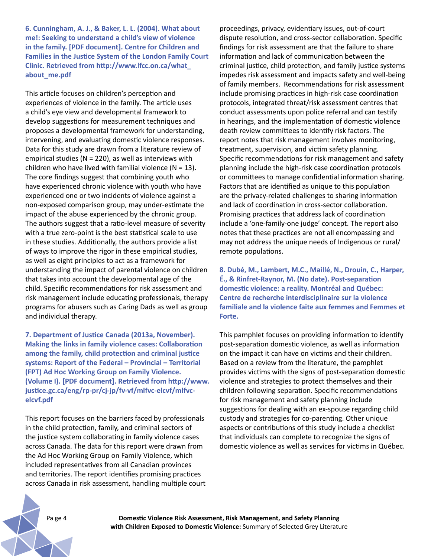**6. Cunningham, A. J., & Baker, L. L. (2004). What about me!: Seeking to understand a child's view of violence in the family. [PDF document]. Centre for Children and Families in the Justice System of the London Family Court Clinic. Retrieved from http://www.lfcc.on.ca/what\_ about\_me.pdf**

This article focuses on children's perception and experiences of violence in the family. The article uses a child's eye view and developmental framework to develop suggestions for measurement techniques and proposes a developmental framework for understanding, intervening, and evaluating domestic violence responses. Data for this study are drawn from a literature review of empirical studies ( $N = 220$ ), as well as interviews with children who have lived with familial violence ( $N = 13$ ). The core findings suggest that combining youth who have experienced chronic violence with youth who have experienced one or two incidents of violence against a non-exposed comparison group, may under-estimate the impact of the abuse experienced by the chronic group. The authors suggest that a ratio-level measure of severity with a true zero-point is the best statistical scale to use in these studies. Additionally, the authors provide a list of ways to improve the rigor in these empirical studies, as well as eight principles to act as a framework for understanding the impact of parental violence on children that takes into account the developmental age of the child. Specific recommendations for risk assessment and risk management include educating professionals, therapy programs for abusers such as Caring Dads as well as group and individual therapy.

**7. Department of Justice Canada (2013a, November). Making the links in family violence cases: Collaboration among the family, child protection and criminal justice systems: Report of the Federal – Provincial – Territorial (FPT) Ad Hoc Working Group on Family Violence. (Volume I). [PDF document]. Retrieved from http://www. justice.gc.ca/eng/rp-pr/cj-jp/fv-vf/mlfvc-elcvf/mlfvcelcvf.pdf**

This report focuses on the barriers faced by professionals in the child protection, family, and criminal sectors of the justice system collaborating in family violence cases across Canada. The data for this report were drawn from the Ad Hoc Working Group on Family Violence, which included representatives from all Canadian provinces and territories. The report identifies promising practices across Canada in risk assessment, handling multiple court proceedings, privacy, evidentiary issues, out-of-court dispute resolution, and cross-sector collaboration. Specific findings for risk assessment are that the failure to share information and lack of communication between the criminal justice, child protection, and family justice systems impedes risk assessment and impacts safety and well-being of family members. Recommendations for risk assessment include promising practices in high-risk case coordination protocols, integrated threat/risk assessment centres that conduct assessments upon police referral and can testify in hearings, and the implementation of domestic violence death review committees to identify risk factors. The report notes that risk management involves monitoring, treatment, supervision, and victim safety planning. Specific recommendations for risk management and safety planning include the high-risk case coordination protocols or committees to manage confidential information sharing. Factors that are identified as unique to this population are the privacy-related challenges to sharing information and lack of coordination in cross-sector collaboration. Promising practices that address lack of coordination include a 'one-family-one judge' concept. The report also notes that these practices are not all encompassing and may not address the unique needs of Indigenous or rural/ remote populations.

**8. Dubé, M., Lambert, M.C., Maillé, N., Drouin, C., Harper, É., & Rinfret-Raynor, M. (No date). Post-separation domestic violence: a reality. Montréal and Québec: Centre de recherche interdisciplinaire sur la violence familiale and la violence faite aux femmes and Femmes et Forte.**

This pamphlet focuses on providing information to identify post-separation domestic violence, as well as information on the impact it can have on victims and their children. Based on a review from the literature, the pamphlet provides victims with the signs of post-separation domestic violence and strategies to protect themselves and their children following separation. Specific recommendations for risk management and safety planning include suggestions for dealing with an ex-spouse regarding child custody and strategies for co-parenting. Other unique aspects or contributions of this study include a checklist that individuals can complete to recognize the signs of domestic violence as well as services for victims in Québec.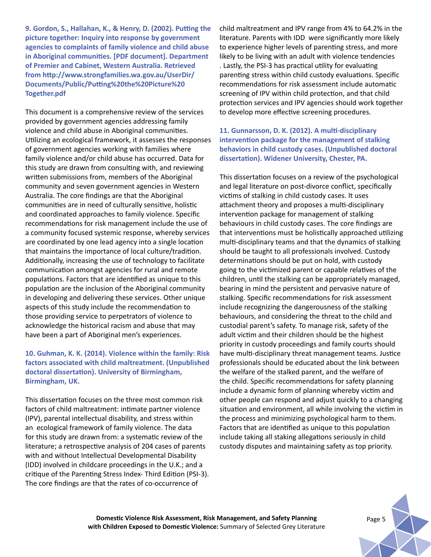**9. Gordon, S., Hallahan, K., & Henry, D. (2002). Putting the picture together: Inquiry into response by government agencies to complaints of family violence and child abuse in Aboriginal communities. [PDF document]. Department of Premier and Cabinet, Western Australia. Retrieved from http://www.strongfamilies.wa.gov.au/UserDir/ Documents/Public/Putting%20the%20Picture%20 Together.pdf**

This document is a comprehensive review of the services provided by government agencies addressing family violence and child abuse in Aboriginal communities. Utilizing an ecological framework, it assesses the responses of government agencies working with families where family violence and/or child abuse has occurred. Data for this study are drawn from consulting with, and reviewing written submissions from, members of the Aboriginal community and seven government agencies in Western Australia. The core findings are that the Aboriginal communities are in need of culturally sensitive, holistic and coordinated approaches to family violence. Specific recommendations for risk management include the use of a community focused systemic response, whereby services are coordinated by one lead agency into a single location that maintains the importance of local culture/tradition. Additionally, increasing the use of technology to facilitate communication amongst agencies for rural and remote populations. Factors that are identified as unique to this population are the inclusion of the Aboriginal community in developing and delivering these services. Other unique aspects of this study include the recommendation to those providing service to perpetrators of violence to acknowledge the historical racism and abuse that may have been a part of Aboriginal men's experiences.

## **10. Guhman, K. K. (2014). Violence within the family: Risk factors associated with child maltreatment. (Unpublished doctoral dissertation). University of Birmingham, Birmingham, UK.**

This dissertation focuses on the three most common risk factors of child maltreatment: intimate partner violence (IPV), parental intellectual disability, and stress within an ecological framework of family violence. The data for this study are drawn from: a systematic review of the literature; a retrospective analysis of 204 cases of parents with and without Intellectual Developmental Disability (IDD) involved in childcare proceedings in the U.K.; and a critique of the Parenting Stress Index- Third Edition (PSI-3). The core findings are that the rates of co-occurrence of

child maltreatment and IPV range from 4% to 64.2% in the literature. Parents with IDD were significantly more likely to experience higher levels of parenting stress, and more likely to be living with an adult with violence tendencies . Lastly, the PSI-3 has practical utility for evaluating parenting stress within child custody evaluations. Specific recommendations for risk assessment include automatic screening of IPV within child protection, and that child protection services and IPV agencies should work together to develop more effective screening procedures.

#### **11. Gunnarsson, D. K. (2012). A multi-disciplinary intervention package for the management of stalking behaviors in child custody cases. (Unpublished doctoral dissertation). Widener University, Chester, PA.**

This dissertation focuses on a review of the psychological and legal literature on post-divorce conflict, specifically victims of stalking in child custody cases. It uses attachment theory and proposes a multi-disciplinary intervention package for management of stalking behaviours in child custody cases. The core findings are that interventions must be holistically approached utilizing multi-disciplinary teams and that the dynamics of stalking should be taught to all professionals involved. Custody determinations should be put on hold, with custody going to the victimized parent or capable relatives of the children, until the stalking can be appropriately managed, bearing in mind the persistent and pervasive nature of stalking. Specific recommendations for risk assessment include recognizing the dangerousness of the stalking behaviours, and considering the threat to the child and custodial parent's safety. To manage risk, safety of the adult victim and their children should be the highest priority in custody proceedings and family courts should have multi-disciplinary threat management teams. Justice professionals should be educated about the link between the welfare of the stalked parent, and the welfare of the child. Specific recommendations for safety planning include a dynamic form of planning whereby victim and other people can respond and adjust quickly to a changing situation and environment, all while involving the victim in the process and minimizing psychological harm to them. Factors that are identified as unique to this population include taking all staking allegations seriously in child custody disputes and maintaining safety as top priority.



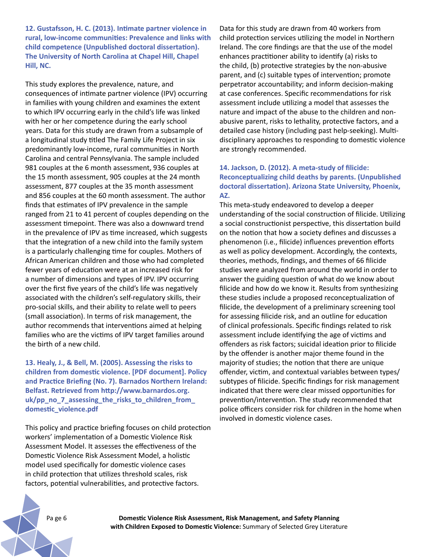**12. Gustafsson, H. C. (2013). Intimate partner violence in rural, low-income communities: Prevalence and links with child competence (Unpublished doctoral dissertation). The University of North Carolina at Chapel Hill, Chapel Hill, NC.** 

This study explores the prevalence, nature, and consequences of intimate partner violence (IPV) occurring in families with young children and examines the extent to which IPV occurring early in the child's life was linked with her or her competence during the early school years. Data for this study are drawn from a subsample of a longitudinal study titled The Family Life Project in six predominantly low-income, rural communities in North Carolina and central Pennsylvania. The sample included 981 couples at the 6 month assessment, 936 couples at the 15 month assessment, 905 couples at the 24 month assessment, 877 couples at the 35 month assessment and 856 couples at the 60 month assessment. The author finds that estimates of IPV prevalence in the sample ranged from 21 to 41 percent of couples depending on the assessment timepoint. There was also a downward trend in the prevalence of IPV as time increased, which suggests that the integration of a new child into the family system is a particularly challenging time for couples. Mothers of African American children and those who had completed fewer years of education were at an increased risk for a number of dimensions and types of IPV. IPV occurring over the first five years of the child's life was negatively associated with the children's self-regulatory skills, their pro-social skills, and their ability to relate well to peers (small association). In terms of risk management, the author recommends that interventions aimed at helping families who are the victims of IPV target families around the birth of a new child.

**13. Healy, J., & Bell, M. (2005). Assessing the risks to children from domestic violence. [PDF document]. Policy and Practice Briefing (No. 7). Barnados Northern Ireland: Belfast. Retrieved from http://www.barnardos.org. uk/pp\_no\_7\_assessing\_the\_risks\_to\_children\_from\_ domestic\_violence.pdf**

This policy and practice briefing focuses on child protection workers' implementation of a Domestic Violence Risk Assessment Model. It assesses the effectiveness of the Domestic Violence Risk Assessment Model, a holistic model used specifically for domestic violence cases in child protection that utilizes threshold scales, risk factors, potential vulnerabilities, and protective factors.

Data for this study are drawn from 40 workers from child protection services utilizing the model in Northern Ireland. The core findings are that the use of the model enhances practitioner ability to identify (a) risks to the child, (b) protective strategies by the non-abusive parent, and (c) suitable types of intervention; promote perpetrator accountability; and inform decision-making at case conferences. Specific recommendations for risk assessment include utilizing a model that assesses the nature and impact of the abuse to the children and nonabusive parent, risks to lethality, protective factors, and a detailed case history (including past help-seeking). Multidisciplinary approaches to responding to domestic violence are strongly recommended.

## **14. Jackson, D. (2012). A meta-study of filicide: Reconceptualizing child deaths by parents. (Unpublished doctoral dissertation). Arizona State University, Phoenix, AZ.**

This meta-study endeavored to develop a deeper understanding of the social construction of filicide. Utilizing a social constructionist perspective, this dissertation build on the notion that how a society defines and discusses a phenomenon (i.e., filicide) influences prevention efforts as well as policy development. Accordingly, the contexts, theories, methods, findings, and themes of 66 filicide studies were analyzed from around the world in order to answer the guiding question of what do we know about filicide and how do we know it. Results from synthesizing these studies include a proposed reconceptualization of filicide, the development of a preliminary screening tool for assessing filicide risk, and an outline for education of clinical professionals. Specific findings related to risk assessment include identifying the age of victims and offenders as risk factors; suicidal ideation prior to filicide by the offender is another major theme found in the majority of studies; the notion that there are unique offender, victim, and contextual variables between types/ subtypes of filicide. Specific findings for risk management indicated that there were clear missed opportunities for prevention/intervention. The study recommended that police officers consider risk for children in the home when involved in domestic violence cases.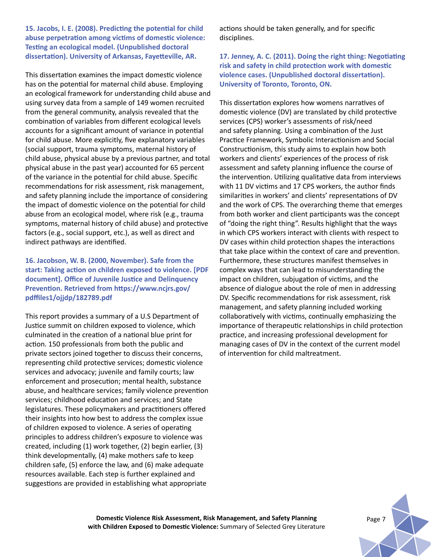**15. Jacobs, I. E. (2008). Predicting the potential for child abuse perpetration among victims of domestic violence: Testing an ecological model. (Unpublished doctoral dissertation). University of Arkansas, Fayetteville, AR.** 

This dissertation examines the impact domestic violence has on the potential for maternal child abuse. Employing an ecological framework for understanding child abuse and using survey data from a sample of 149 women recruited from the general community, analysis revealed that the combination of variables from different ecological levels accounts for a significant amount of variance in potential for child abuse. More explicitly, five explanatory variables (social support, trauma symptoms, maternal history of child abuse, physical abuse by a previous partner, and total physical abuse in the past year) accounted for 65 percent of the variance in the potential for child abuse. Specific recommendations for risk assessment, risk management, and safety planning include the importance of considering the impact of domestic violence on the potential for child abuse from an ecological model, where risk (e.g., trauma symptoms, maternal history of child abuse) and protective factors (e.g., social support, etc.), as well as direct and indirect pathways are identified.

**16. Jacobson, W. B. (2000, November). Safe from the start: Taking action on children exposed to violence. [PDF document]. Office of Juvenile Justice and Delinquency Prevention. Retrieved from https://www.ncjrs.gov/ pdffiles1/ojjdp/182789.pdf**

This report provides a summary of a U.S Department of Justice summit on children exposed to violence, which culminated in the creation of a national blue print for action. 150 professionals from both the public and private sectors joined together to discuss their concerns, representing child protective services; domestic violence services and advocacy; juvenile and family courts; law enforcement and prosecution; mental health, substance abuse, and healthcare services; family violence prevention services; childhood education and services; and State legislatures. These policymakers and practitioners offered their insights into how best to address the complex issue of children exposed to violence. A series of operating principles to address children's exposure to violence was created, including (1) work together, (2) begin earlier, (3) think developmentally, (4) make mothers safe to keep children safe, (5) enforce the law, and (6) make adequate resources available. Each step is further explained and suggestions are provided in establishing what appropriate

actions should be taken generally, and for specific disciplines.

**17. Jenney, A. C. (2011). Doing the right thing: Negotiating risk and safety in child protection work with domestic violence cases. (Unpublished doctoral dissertation). University of Toronto, Toronto, ON.** 

This dissertation explores how womens narratives of domestic violence (DV) are translated by child protective services (CPS) worker's assessments of risk/need and safety planning. Using a combination of the Just Practice Framework, Symbolic Interactionism and Social Constructionism, this study aims to explain how both workers and clients' experiences of the process of risk assessment and safety planning influence the course of the intervention. Utilizing qualitative data from interviews with 11 DV victims and 17 CPS workers, the author finds similarities in workers' and clients' representations of DV and the work of CPS. The overarching theme that emerges from both worker and client participants was the concept of "doing the right thing". Results highlight that the ways in which CPS workers interact with clients with respect to DV cases within child protection shapes the interactions that take place within the context of care and prevention. Furthermore, these structures manifest themselves in complex ways that can lead to misunderstanding the impact on children, subjugation of victims, and the absence of dialogue about the role of men in addressing DV. Specific recommendations for risk assessment, risk management, and safety planning included working collaboratively with victims, continually emphasizing the importance of therapeutic relationships in child protection practice, and increasing professional development for managing cases of DV in the context of the current model of intervention for child maltreatment.

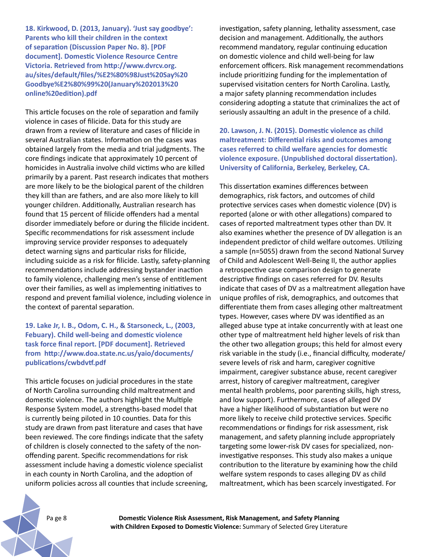**18. Kirkwood, D. (2013, January). 'Just say goodbye': Parents who kill their children in the context of separation (Discussion Paper No. 8). [PDF document]. Domestic Violence Resource Centre Victoria. Retrieved from http://www.dvrcv.org. au/sites/default/files/%E2%80%98Just%20Say%20 Goodbye%E2%80%99%20(January%202013%20 online%20edition).pdf**

This article focuses on the role of separation and family violence in cases of filicide. Data for this study are drawn from a review of literature and cases of filicide in several Australian states. Information on the cases was obtained largely from the media and trial judgments. The core findings indicate that approximately 10 percent of homicides in Australia involve child victims who are killed primarily by a parent. Past research indicates that mothers are more likely to be the biological parent of the children they kill than are fathers, and are also more likely to kill younger children. Additionally, Australian research has found that 15 percent of filicide offenders had a mental disorder immediately before or during the filicide incident. Specific recommendations for risk assessment include improving service provider responses to adequately detect warning signs and particular risks for filicide, including suicide as a risk for filicide. Lastly, safety-planning recommendations include addressing bystander inaction to family violence, challenging men's sense of entitlement over their families, as well as implementing initiatives to respond and prevent familial violence, including violence in the context of parental separation.

## **19. Lake Jr, I. B., Odom, C. H., & Starsoneck, L., (2003, Febuary). Child well-being and domestic violence task force final report. [PDF document]. Retrieved from http://www.doa.state.nc.us/yaio/documents/ publications/cwbdvtf.pdf**

This article focuses on judicial procedures in the state of North Carolina surrounding child maltreatment and domestic violence. The authors highlight the Multiple Response System model, a strengths-based model that is currently being piloted in 10 counties. Data for this study are drawn from past literature and cases that have been reviewed. The core findings indicate that the safety of children is closely connected to the safety of the nonoffending parent. Specific recommendations for risk assessment include having a domestic violence specialist in each county in North Carolina, and the adoption of uniform policies across all counties that include screening, investigation, safety planning, lethality assessment, case decision and management. Additionally, the authors recommend mandatory, regular continuing education on domestic violence and child well-being for law enforcement officers. Risk management recommendations include prioritizing funding for the implementation of supervised visitation centers for North Carolina. Lastly, a major safety planning recommendation includes considering adopting a statute that criminalizes the act of seriously assaulting an adult in the presence of a child.

**20. Lawson, J. N. (2015). Domestic violence as child maltreatment: Differential risks and outcomes among cases referred to child welfare agencies for domestic violence exposure. (Unpublished doctoral dissertation). University of California, Berkeley, Berkeley, CA.**

This dissertation examines differences between demographics, risk factors, and outcomes of child protective services cases when domestic violence (DV) is reported (alone or with other allegations) compared to cases of reported maltreatment types other than DV. It also examines whether the presence of DV allegation is an independent predictor of child welfare outcomes. Utilizing a sample (n=5055) drawn from the second National Survey of Child and Adolescent Well-Being II, the author applies a retrospective case comparison design to generate descriptive findings on cases referred for DV. Results indicate that cases of DV as a maltreatment allegation have unique profiles of risk, demographics, and outcomes that differentiate them from cases alleging other maltreatment types. However, cases where DV was identified as an alleged abuse type at intake concurrently with at least one other type of maltreatment held higher levels of risk than the other two allegation groups; this held for almost every risk variable in the study (i.e., financial difficulty, moderate/ severe levels of risk and harm, caregiver cognitive impairment, caregiver substance abuse, recent caregiver arrest, history of caregiver maltreatment, caregiver mental health problems, poor parenting skills, high stress, and low support). Furthermore, cases of alleged DV have a higher likelihood of substantiation but were no more likely to receive child protective services. Specific recommendations or findings for risk assessment, risk management, and safety planning include appropriately targeting some lower-risk DV cases for specialized, noninvestigative responses. This study also makes a unique contribution to the literature by examining how the child welfare system responds to cases alleging DV as child maltreatment, which has been scarcely investigated. For

Pa ge 8 **Domestic Violence Risk Assessment, Risk Management, and Safety Planning with Children Exposed to Domestic Violence:** Summary of Selected Grey Literature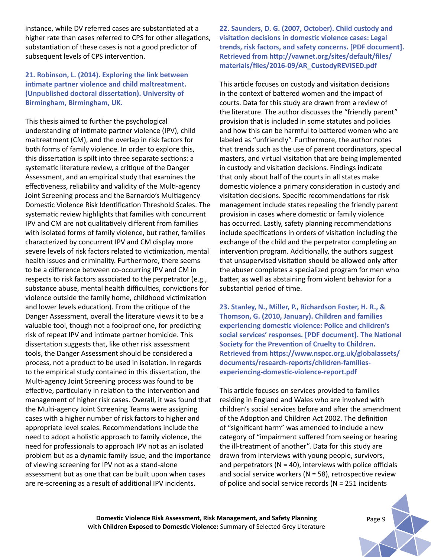instance, while DV referred cases are substantiated at a higher rate than cases referred to CPS for other allegations, substantiation of these cases is not a good predictor of subsequent levels of CPS intervention.

## **21. Robinson, L. (2014). Exploring the link between intimate partner violence and child maltreatment. (Unpublished doctoral dissertation). University of Birmingham, Birmingham, UK.**

This thesis aimed to further the psychological understanding of intimate partner violence (IPV), child maltreatment (CM), and the overlap in risk factors for both forms of family violence. In order to explore this, this dissertation is spilt into three separate sections: a systematic literature review, a critique of the Danger Assessment, and an empirical study that examines the effectiveness, reliability and validity of the Multi-agency Joint Screening process and the Barnardo's Multiagency Domestic Violence Risk Identification Threshold Scales. The systematic review highlights that families with concurrent IPV and CM are not qualitatively different from families with isolated forms of family violence, but rather, families characterized by concurrent IPV and CM display more severe levels of risk factors related to victimization, mental health issues and criminality. Furthermore, there seems to be a difference between co-occurring IPV and CM in respects to risk factors associated to the perpetrator (e.g., substance abuse, mental health difficulties, convictions for violence outside the family home, childhood victimization and lower levels education). From the critique of the Danger Assessment, overall the literature views it to be a valuable tool, though not a foolproof one, for predicting risk of repeat IPV and intimate partner homicide. This dissertation suggests that, like other risk assessment tools, the Danger Assessment should be considered a process, not a product to be used in isolation. In regards to the empirical study contained in this dissertation, the Multi-agency Joint Screening process was found to be effective, particularly in relation to the intervention and management of higher risk cases. Overall, it was found that the Multi-agency Joint Screening Teams were assigning cases with a higher number of risk factors to higher and appropriate level scales. Recommendations include the need to adopt a holistic approach to family violence, the need for professionals to approach IPV not as an isolated problem but as a dynamic family issue, and the importance of viewing screening for IPV not as a stand-alone assessment but as one that can be built upon when cases are re-screening as a result of additional IPV incidents.

**22. Saunders, D. G. (2007, October). Child custody and visitation decisions in domestic violence cases: Legal trends, risk factors, and safety concerns. [PDF document]. Retrieved from http://vawnet.org/sites/default/files/ materials/files/2016-09/AR\_CustodyREVISED.pdf**

This article focuses on custody and visitation decisions in the context of battered women and the impact of courts. Data for this study are drawn from a review of the literature. The author discusses the "friendly parent" provision that is included in some statutes and policies and how this can be harmful to battered women who are labeled as "unfriendly". Furthermore, the author notes that trends such as the use of parent coordinators, special masters, and virtual visitation that are being implemented in custody and visitation decisions. Findings indicate that only about half of the courts in all states make domestic violence a primary consideration in custody and visitation decisions. Specific recommendations for risk management include states repealing the friendly parent provision in cases where domestic or family violence has occurred. Lastly, safety planning recommendations include specifications in orders of visitation including the exchange of the child and the perpetrator completing an intervention program. Additionally, the authors suggest that unsupervised visitation should be allowed only after the abuser completes a specialized program for men who batter, as well as abstaining from violent behavior for a substantial period of time.

**23. Stanley, N., Miller, P., Richardson Foster, H. R., & Thomson, G. (2010, January). Children and families experiencing domestic violence: Police and children's social services' responses. [PDF document]. The National Society for the Prevention of Cruelty to Children. Retrieved from https://www.nspcc.org.uk/globalassets/ documents/research-reports/children-familiesexperiencing-domestic-violence-report.pdf**

This article focuses on services provided to families residing in England and Wales who are involved with children's social services before and after the amendment of the Adoption and Children Act 2002. The definition of "significant harm" was amended to include a new category of "impairment suffered from seeing or hearing the ill-treatment of another". Data for this study are drawn from interviews with young people, survivors, and perpetrators ( $N = 40$ ), interviews with police officials and social service workers ( $N = 58$ ), retrospective review of police and social service records (N = 251 incidents

**Domestic Violence Risk Assessment, Risk Management, and Safety Planning** *Page 9* **with Children Exposed to Domestic Violence:** Summary of Selected Grey Literature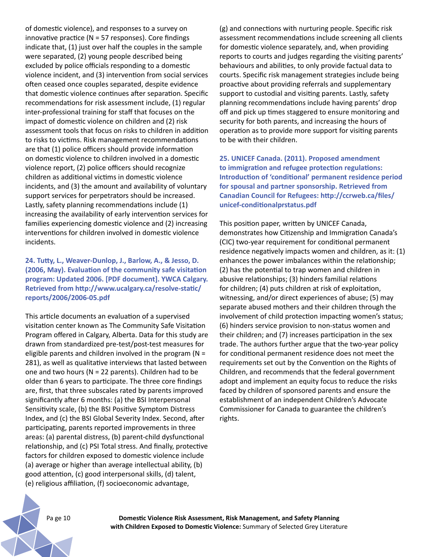of domestic violence), and responses to a survey on innovative practice ( $N = 57$  responses). Core findings indicate that, (1) just over half the couples in the sample were separated, (2) young people described being excluded by police officials responding to a domestic violence incident, and (3) intervention from social services often ceased once couples separated, despite evidence that domestic violence continues after separation. Specific recommendations for risk assessment include, (1) regular inter-professional training for staff that focuses on the impact of domestic violence on children and (2) risk assessment tools that focus on risks to children in addition to risks to victims. Risk management recommendations are that (1) police officers should provide information on domestic violence to children involved in a domestic violence report, (2) police officers should recognize children as additional victims in domestic violence incidents, and (3) the amount and availability of voluntary support services for perpetrators should be increased. Lastly, safety planning recommendations include (1) increasing the availability of early intervention services for families experiencing domestic violence and (2) increasing interventions for children involved in domestic violence incidents.

## **24. Tutty, L., Weaver-Dunlop, J., Barlow, A., & Jesso, D. (2006, May). Evaluation of the community safe visitation program: Updated 2006. [PDF document]. YWCA Calgary. Retrieved from http://www.ucalgary.ca/resolve-static/ reports/2006/2006-05.pdf**

This article documents an evaluation of a supervised visitation center known as The Community Safe Visitation Program offered in Calgary, Alberta. Data for this study are drawn from standardized pre-test/post-test measures for eligible parents and children involved in the program ( $N =$ 281), as well as qualitative interviews that lasted between one and two hours ( $N = 22$  parents). Children had to be older than 6 years to participate. The three core findings are, first, that three subscales rated by parents improved significantly after 6 months: (a) the BSI Interpersonal Sensitivity scale, (b) the BSI Positive Symptom Distress Index, and (c) the BSI Global Severity Index. Second, after participating, parents reported improvements in three areas: (a) parental distress, (b) parent-child dysfunctional relationship, and (c) PSI Total stress. And finally, protective factors for children exposed to domestic violence include (a) average or higher than average intellectual ability, (b) good attention, (c) good interpersonal skills, (d) talent, (e) religious affiliation, (f) socioeconomic advantage,

(g) and connections with nurturing people. Specific risk assessment recommendations include screening all clients for domestic violence separately, and, when providing reports to courts and judges regarding the visiting parents' behaviours and abilities, to only provide factual data to courts. Specific risk management strategies include being proactive about providing referrals and supplementary support to custodial and visiting parents. Lastly, safety planning recommendations include having parents' drop off and pick up times staggered to ensure monitoring and security for both parents, and increasing the hours of operation as to provide more support for visiting parents to be with their children.

**25. UNICEF Canada. (2011). Proposed amendment to immigration and refugee protection regulations: Introduction of 'conditional' permanent residence period for spousal and partner sponsorship. Retrieved from Canadian Council for Refugees: http://ccrweb.ca/files/ unicef-conditionalprstatus.pdf**

This position paper, written by UNICEF Canada, demonstrates how Citizenship and Immigration Canada's (CIC) two-year requirement for conditional permanent residence negatively impacts women and children, as it: (1) enhances the power imbalances within the relationship; (2) has the potential to trap women and children in abusive relationships; (3) hinders familial relations for children; (4) puts children at risk of exploitation, witnessing, and/or direct experiences of abuse; (5) may separate abused mothers and their children through the involvement of child protection impacting women's status; (6) hinders service provision to non-status women and their children; and (7) increases participation in the sex trade. The authors further argue that the two-year policy for conditional permanent residence does not meet the requirements set out by the Convention on the Rights of Children, and recommends that the federal government adopt and implement an equity focus to reduce the risks faced by children of sponsored parents and ensure the establishment of an independent Children's Advocate Commissioner for Canada to guarantee the children's rights.